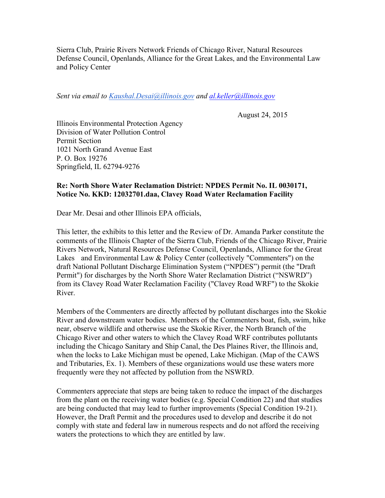Sierra Club, Prairie Rivers Network Friends of Chicago River, Natural Resources Defense Council, Openlands, Alliance for the Great Lakes, and the Environmental Law and Policy Center

*Sent via email to Kaushal.Desai@illinois.gov and al.keller@illinois.gov*

August 24, 2015

Illinois Environmental Protection Agency Division of Water Pollution Control Permit Section 1021 North Grand Avenue East P. O. Box 19276 Springfield, IL 62794-9276

# **Re: North Shore Water Reclamation District: NPDES Permit No. IL 0030171, Notice No. KKD: 12032701.daa, Clavey Road Water Reclamation Facility**

Dear Mr. Desai and other Illinois EPA officials,

This letter, the exhibits to this letter and the Review of Dr. Amanda Parker constitute the comments of the Illinois Chapter of the Sierra Club, Friends of the Chicago River, Prairie Rivers Network, Natural Resources Defense Council, Openlands, Alliance for the Great Lakes and Environmental Law & Policy Center (collectively "Commenters") on the draft National Pollutant Discharge Elimination System ("NPDES") permit (the "Draft Permit") for discharges by the North Shore Water Reclamation District ("NSWRD") from its Clavey Road Water Reclamation Facility ("Clavey Road WRF") to the Skokie River.

Members of the Commenters are directly affected by pollutant discharges into the Skokie River and downstream water bodies. Members of the Commenters boat, fish, swim, hike near, observe wildlife and otherwise use the Skokie River, the North Branch of the Chicago River and other waters to which the Clavey Road WRF contributes pollutants including the Chicago Sanitary and Ship Canal, the Des Plaines River, the Illinois and, when the locks to Lake Michigan must be opened, Lake Michigan. (Map of the CAWS and Tributaries, Ex. 1). Members of these organizations would use these waters more frequently were they not affected by pollution from the NSWRD.

Commenters appreciate that steps are being taken to reduce the impact of the discharges from the plant on the receiving water bodies (e.g. Special Condition 22) and that studies are being conducted that may lead to further improvements (Special Condition 19-21). However, the Draft Permit and the procedures used to develop and describe it do not comply with state and federal law in numerous respects and do not afford the receiving waters the protections to which they are entitled by law.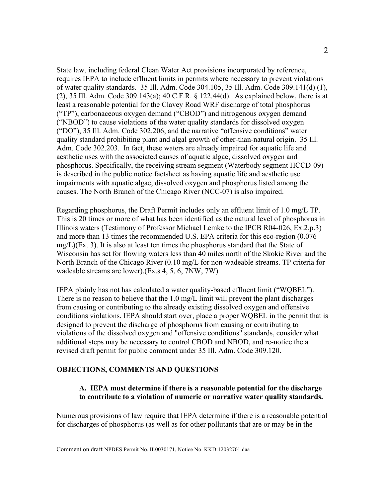State law, including federal Clean Water Act provisions incorporated by reference, requires IEPA to include effluent limits in permits where necessary to prevent violations of water quality standards. 35 Ill. Adm. Code 304.105, 35 Ill. Adm. Code 309.141(d) (1), (2), 35 Ill. Adm. Code 309.143(a); 40 C.F.R. § 122.44(d). As explained below, there is at least a reasonable potential for the Clavey Road WRF discharge of total phosphorus ("TP"), carbonaceous oxygen demand ("CBOD") and nitrogenous oxygen demand ("NBOD") to cause violations of the water quality standards for dissolved oxygen ("DO"), 35 Ill. Adm. Code 302.206, and the narrative "offensive conditions" water quality standard prohibiting plant and algal growth of other-than-natural origin. 35 Ill. Adm. Code 302.203. In fact, these waters are already impaired for aquatic life and aesthetic uses with the associated causes of aquatic algae, dissolved oxygen and phosphorus. Specifically, the receiving stream segment (Waterbody segment HCCD-09) is described in the public notice factsheet as having aquatic life and aesthetic use impairments with aquatic algae, dissolved oxygen and phosphorus listed among the causes. The North Branch of the Chicago River (NCC-07) is also impaired.

Regarding phosphorus, the Draft Permit includes only an effluent limit of 1.0 mg/L TP. This is 20 times or more of what has been identified as the natural level of phosphorus in Illinois waters (Testimony of Professor Michael Lemke to the IPCB R04-026, Ex.2.p.3) and more than 13 times the recommended U.S. EPA criteria for this eco-region (0.076  $mg/L$ )(Ex. 3). It is also at least ten times the phosphorus standard that the State of Wisconsin has set for flowing waters less than 40 miles north of the Skokie River and the North Branch of the Chicago River (0.10 mg/L for non-wadeable streams. TP criteria for wadeable streams are lower).(Ex.s 4, 5, 6, 7NW, 7W)

IEPA plainly has not has calculated a water quality-based effluent limit ("WQBEL"). There is no reason to believe that the 1.0 mg/L limit will prevent the plant discharges from causing or contributing to the already existing dissolved oxygen and offensive conditions violations. IEPA should start over, place a proper WQBEL in the permit that is designed to prevent the discharge of phosphorus from causing or contributing to violations of the dissolved oxygen and "offensive conditions" standards, consider what additional steps may be necessary to control CBOD and NBOD, and re-notice the a revised draft permit for public comment under 35 Ill. Adm. Code 309.120.

#### **OBJECTIONS, COMMENTS AND QUESTIONS**

# **A. IEPA must determine if there is a reasonable potential for the discharge to contribute to a violation of numeric or narrative water quality standards.**

Numerous provisions of law require that IEPA determine if there is a reasonable potential for discharges of phosphorus (as well as for other pollutants that are or may be in the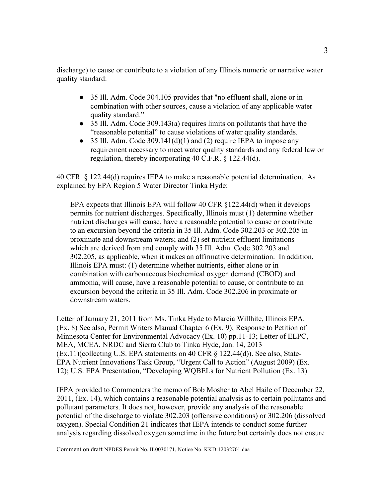discharge) to cause or contribute to a violation of any Illinois numeric or narrative water quality standard:

- 35 Ill. Adm. Code 304.105 provides that "no effluent shall, alone or in combination with other sources, cause a violation of any applicable water quality standard."
- 35 Ill. Adm. Code 309.143(a) requires limits on pollutants that have the "reasonable potential" to cause violations of water quality standards.
- $\bullet$  35 Ill. Adm. Code 309.141(d)(1) and (2) require IEPA to impose any requirement necessary to meet water quality standards and any federal law or regulation, thereby incorporating 40 C.F.R. § 122.44(d).

40 CFR § 122.44(d) requires IEPA to make a reasonable potential determination. As explained by EPA Region 5 Water Director Tinka Hyde:

EPA expects that Illinois EPA will follow 40 CFR §122.44(d) when it develops permits for nutrient discharges. Specifically, Illinois must (1) determine whether nutrient discharges will cause, have a reasonable potential to cause or contribute to an excursion beyond the criteria in 35 Ill. Adm. Code 302.203 or 302.205 in proximate and downstream waters; and (2) set nutrient effluent limitations which are derived from and comply with 35 Ill. Adm. Code 302.203 and 302.205, as applicable, when it makes an affirmative determination. In addition, Illinois EPA must: (1) determine whether nutrients, either alone or in combination with carbonaceous biochemical oxygen demand (CBOD) and ammonia, will cause, have a reasonable potential to cause, or contribute to an excursion beyond the criteria in 35 Ill. Adm. Code 302.206 in proximate or downstream waters.

Letter of January 21, 2011 from Ms. Tinka Hyde to Marcia Willhite, Illinois EPA. (Ex. 8) See also, Permit Writers Manual Chapter 6 (Ex. 9); Response to Petition of Minnesota Center for Environmental Advocacy (Ex. 10) pp.11-13; Letter of ELPC, MEA, MCEA, NRDC and Sierra Club to Tinka Hyde, Jan. 14, 2013 (Ex.11)(collecting U.S. EPA statements on 40 CFR § 122.44(d)). See also, State-EPA Nutrient Innovations Task Group, "Urgent Call to Action" (August 2009) (Ex. 12); U.S. EPA Presentation, "Developing WQBELs for Nutrient Pollution (Ex. 13)

IEPA provided to Commenters the memo of Bob Mosher to Abel Haile of December 22, 2011, (Ex. 14), which contains a reasonable potential analysis as to certain pollutants and pollutant parameters. It does not, however, provide any analysis of the reasonable potential of the discharge to violate 302.203 (offensive conditions) or 302.206 (dissolved oxygen). Special Condition 21 indicates that IEPA intends to conduct some further analysis regarding dissolved oxygen sometime in the future but certainly does not ensure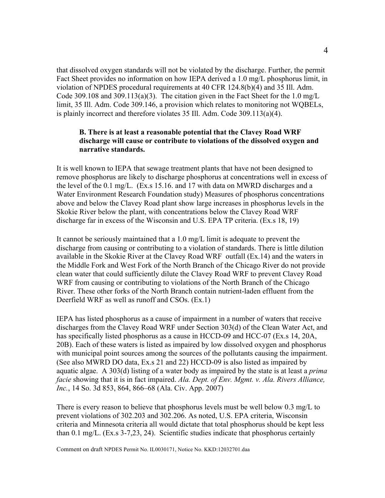that dissolved oxygen standards will not be violated by the discharge. Further, the permit Fact Sheet provides no information on how IEPA derived a 1.0 mg/L phosphorus limit, in violation of NPDES procedural requirements at 40 CFR 124.8(b)(4) and 35 Ill. Adm. Code 309.108 and 309.113(a)(3). The citation given in the Fact Sheet for the 1.0 mg/L limit, 35 Ill. Adm. Code 309.146, a provision which relates to monitoring not WQBELs, is plainly incorrect and therefore violates 35 Ill. Adm. Code 309.113(a)(4).

# **B. There is at least a reasonable potential that the Clavey Road WRF discharge will cause or contribute to violations of the dissolved oxygen and narrative standards.**

It is well known to IEPA that sewage treatment plants that have not been designed to remove phosphorus are likely to discharge phosphorus at concentrations well in excess of the level of the 0.1 mg/L. (Ex.s 15.16. and 17 with data on MWRD discharges and a Water Environment Research Foundation study) Measures of phosphorus concentrations above and below the Clavey Road plant show large increases in phosphorus levels in the Skokie River below the plant, with concentrations below the Clavey Road WRF discharge far in excess of the Wisconsin and U.S. EPA TP criteria. (Ex.s 18, 19)

It cannot be seriously maintained that a 1.0 mg/L limit is adequate to prevent the discharge from causing or contributing to a violation of standards. There is little dilution available in the Skokie River at the Clavey Road WRF outfall (Ex.14) and the waters in the Middle Fork and West Fork of the North Branch of the Chicago River do not provide clean water that could sufficiently dilute the Clavey Road WRF to prevent Clavey Road WRF from causing or contributing to violations of the North Branch of the Chicago River. These other forks of the North Branch contain nutrient-laden effluent from the Deerfield WRF as well as runoff and CSOs. (Ex.1)

IEPA has listed phosphorus as a cause of impairment in a number of waters that receive discharges from the Clavey Road WRF under Section 303(d) of the Clean Water Act, and has specifically listed phosphorus as a cause in HCCD-09 and HCC-07 (Ex.s 14, 20A, 20B). Each of these waters is listed as impaired by low dissolved oxygen and phosphorus with municipal point sources among the sources of the pollutants causing the impairment. (See also MWRD DO data, Ex.s 21 and 22) HCCD-09 is also listed as impaired by aquatic algae. A 303(d) listing of a water body as impaired by the state is at least a *prima facie* showing that it is in fact impaired. *Ala. Dept. of Env. Mgmt. v. Ala. Rivers Alliance, Inc.*, 14 So. 3d 853, 864, 866–68 (Ala. Civ. App. 2007)

There is every reason to believe that phosphorus levels must be well below 0.3 mg/L to prevent violations of 302.203 and 302.206. As noted, U.S. EPA criteria, Wisconsin criteria and Minnesota criteria all would dictate that total phosphorus should be kept less than 0.1 mg/L. (Ex.s 3-7,23, 24). Scientific studies indicate that phosphorus certainly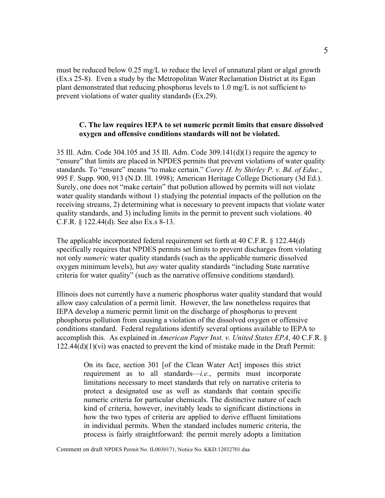must be reduced below 0.25 mg/L to reduce the level of unnatural plant or algal growth (Ex.s 25-8). Even a study by the Metropolitan Water Reclamation District at its Egan plant demonstrated that reducing phosphorus levels to 1.0 mg/L is not sufficient to prevent violations of water quality standards (Ex.29).

# **C. The law requires IEPA to set numeric permit limits that ensure dissolved oxygen and offensive conditions standards will not be violated.**

35 Ill. Adm. Code 304.105 and 35 Ill. Adm. Code 309.141(d)(1) require the agency to "ensure" that limits are placed in NPDES permits that prevent violations of water quality standards. To "ensure" means "to make certain." *Corey H. by Shirley P. v. Bd. of Educ.*, 995 F. Supp. 900, 913 (N.D. Ill. 1998); American Heritage College Dictionary (3d Ed.). Surely, one does not "make certain" that pollution allowed by permits will not violate water quality standards without 1) studying the potential impacts of the pollution on the receiving streams, 2) determining what is necessary to prevent impacts that violate water quality standards, and 3) including limits in the permit to prevent such violations. 40 C.F.R. § 122.44(d). See also Ex.s 8-13.

The applicable incorporated federal requirement set forth at 40 C.F.R. § 122.44(d) specifically requires that NPDES permits set limits to prevent discharges from violating not only *numeric* water quality standards (such as the applicable numeric dissolved oxygen minimum levels), but *any* water quality standards "including State narrative criteria for water quality" (such as the narrative offensive conditions standard).

Illinois does not currently have a numeric phosphorus water quality standard that would allow easy calculation of a permit limit. However, the law nonetheless requires that IEPA develop a numeric permit limit on the discharge of phosphorus to prevent phosphorus pollution from causing a violation of the dissolved oxygen or offensive conditions standard. Federal regulations identify several options available to IEPA to accomplish this. As explained in *American Paper Inst. v. United States EPA*, 40 C.F.R. § 122.44(d)(1)(vi) was enacted to prevent the kind of mistake made in the Draft Permit:

On its face, section 301 [of the Clean Water Act] imposes this strict requirement as to all standards—*i.e.*, permits must incorporate limitations necessary to meet standards that rely on narrative criteria to protect a designated use as well as standards that contain specific numeric criteria for particular chemicals. The distinctive nature of each kind of criteria, however, inevitably leads to significant distinctions in how the two types of criteria are applied to derive effluent limitations in individual permits. When the standard includes numeric criteria, the process is fairly straightforward: the permit merely adopts a limitation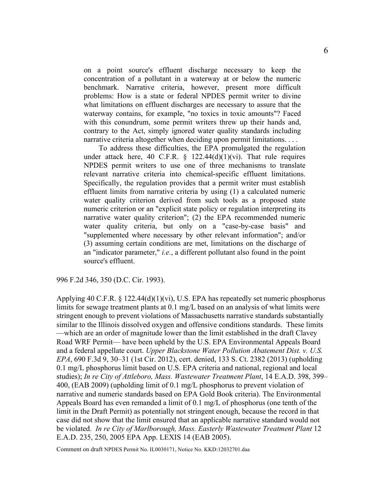on a point source's effluent discharge necessary to keep the concentration of a pollutant in a waterway at or below the numeric benchmark. Narrative criteria, however, present more difficult problems: How is a state or federal NPDES permit writer to divine what limitations on effluent discharges are necessary to assure that the waterway contains, for example, "no toxics in toxic amounts"? Faced with this conundrum, some permit writers threw up their hands and, contrary to the Act, simply ignored water quality standards including narrative criteria altogether when deciding upon permit limitations. . . .

 To address these difficulties, the EPA promulgated the regulation under attack here, 40 C.F.R.  $\S$  122.44(d)(1)(vi). That rule requires NPDES permit writers to use one of three mechanisms to translate relevant narrative criteria into chemical-specific effluent limitations. Specifically, the regulation provides that a permit writer must establish effluent limits from narrative criteria by using (1) a calculated numeric water quality criterion derived from such tools as a proposed state numeric criterion or an "explicit state policy or regulation interpreting its narrative water quality criterion"; (2) the EPA recommended numeric water quality criteria, but only on a "case-by-case basis" and "supplemented where necessary by other relevant information"; and/or (3) assuming certain conditions are met, limitations on the discharge of an "indicator parameter," *i.e.*, a different pollutant also found in the point source's effluent.

996 F.2d 346, 350 (D.C. Cir. 1993).

Applying 40 C.F.R. § 122.44(d)(1)(vi), U.S. EPA has repeatedly set numeric phosphorus limits for sewage treatment plants at 0.1 mg/L based on an analysis of what limits were stringent enough to prevent violations of Massachusetts narrative standards substantially similar to the Illinois dissolved oxygen and offensive conditions standards. These limits —which are an order of magnitude lower than the limit established in the draft Clavey Road WRF Permit— have been upheld by the U.S. EPA Environmental Appeals Board and a federal appellate court. *Upper Blackstone Water Pollution Abatement Dist. v. U.S. EPA*, 690 F.3d 9, 30–31 (1st Cir. 2012), cert. denied, 133 S. Ct. 2382 (2013) (upholding 0.1 mg/L phosphorus limit based on U.S. EPA criteria and national, regional and local studies); *In re City of Attleboro, Mass. Wastewater Treatment Plant*, 14 E.A.D. 398, 399– 400, (EAB 2009) (upholding limit of 0.1 mg/L phosphorus to prevent violation of narrative and numeric standards based on EPA Gold Book criteria). The Environmental Appeals Board has even remanded a limit of 0.1 mg/L of phosphorus (one tenth of the limit in the Draft Permit) as potentially not stringent enough, because the record in that case did not show that the limit ensured that an applicable narrative standard would not be violated. *In re City of Marlborough, Mass. Easterly Wastewater Treatment Plant* 12 E.A.D. 235, 250, 2005 EPA App. LEXIS 14 (EAB 2005).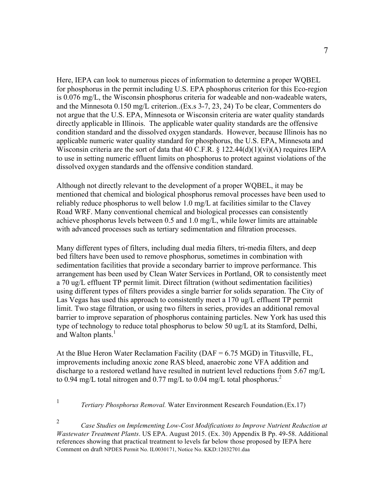Here, IEPA can look to numerous pieces of information to determine a proper WQBEL for phosphorus in the permit including U.S. EPA phosphorus criterion for this Eco-region is 0.076 mg/L, the Wisconsin phosphorus criteria for wadeable and non-wadeable waters, and the Minnesota 0.150 mg/L criterion..(Ex.s 3-7, 23, 24) To be clear, Commenters do not argue that the U.S. EPA, Minnesota or Wisconsin criteria are water quality standards directly applicable in Illinois. The applicable water quality standards are the offensive condition standard and the dissolved oxygen standards. However, because Illinois has no applicable numeric water quality standard for phosphorus, the U.S. EPA, Minnesota and Wisconsin criteria are the sort of data that 40 C.F.R.  $\S$  122.44(d)(1)(vi)(A) requires IEPA to use in setting numeric effluent limits on phosphorus to protect against violations of the dissolved oxygen standards and the offensive condition standard.

Although not directly relevant to the development of a proper WQBEL, it may be mentioned that chemical and biological phosphorus removal processes have been used to reliably reduce phosphorus to well below 1.0 mg/L at facilities similar to the Clavey Road WRF. Many conventional chemical and biological processes can consistently achieve phosphorus levels between 0.5 and 1.0 mg/L, while lower limits are attainable with advanced processes such as tertiary sedimentation and filtration processes.

Many different types of filters, including dual media filters, tri-media filters, and deep bed filters have been used to remove phosphorus, sometimes in combination with sedimentation facilities that provide a secondary barrier to improve performance. This arrangement has been used by Clean Water Services in Portland, OR to consistently meet a 70 ug/L effluent TP permit limit. Direct filtration (without sedimentation facilities) using different types of filters provides a single barrier for solids separation. The City of Las Vegas has used this approach to consistently meet a 170 ug/L effluent TP permit limit. Two stage filtration, or using two filters in series, provides an additional removal barrier to improve separation of phosphorus containing particles. New York has used this type of technology to reduce total phosphorus to below 50 ug/L at its Stamford, Delhi, and Walton plants.<sup>1</sup>

At the Blue Heron Water Reclamation Facility (DAF = 6.75 MGD) in Titusville, FL, improvements including anoxic zone RAS bleed, anaerobic zone VFA addition and discharge to a restored wetland have resulted in nutrient level reductions from 5.67 mg/L to 0.94 mg/L total nitrogen and 0.77 mg/L to 0.04 mg/L total phosphorus.<sup>2</sup>

<sup>1</sup> *Tertiary Phosphorus Removal.* Water Environment Research Foundation.(Ex.17)

Comment on draft NPDES Permit No. IL0030171, Notice No. KKD:12032701.daa <sup>2</sup> *Case Studies on Implementing Low-Cost Modifications to Improve Nutrient Reduction at Wastewater Treatment Plants*. US EPA. August 2015. (Ex. 30) Appendix B Pp. 49-58. Additional references showing that practical treatment to levels far below those proposed by IEPA here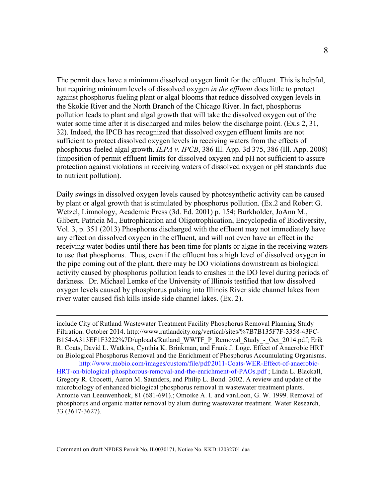The permit does have a minimum dissolved oxygen limit for the effluent. This is helpful, but requiring minimum levels of dissolved oxygen *in the effluent* does little to protect against phosphorus fueling plant or algal blooms that reduce dissolved oxygen levels in the Skokie River and the North Branch of the Chicago River. In fact, phosphorus pollution leads to plant and algal growth that will take the dissolved oxygen out of the water some time after it is discharged and miles below the discharge point. (Ex.s 2, 31, 32). Indeed, the IPCB has recognized that dissolved oxygen effluent limits are not sufficient to protect dissolved oxygen levels in receiving waters from the effects of phosphorus-fueled algal growth. *IEPA v. IPCB*, 386 Ill. App. 3d 375, 386 (Ill. App. 2008) (imposition of permit effluent limits for dissolved oxygen and pH not sufficient to assure protection against violations in receiving waters of dissolved oxygen or pH standards due to nutrient pollution).

Daily swings in dissolved oxygen levels caused by photosynthetic activity can be caused by plant or algal growth that is stimulated by phosphorus pollution. (Ex.2 and Robert G. Wetzel, Limnology, Academic Press (3d. Ed. 2001) p. 154; Burkholder, JoAnn M., Glibert, Patricia M., Eutrophication and Oligotrophication, Encyclopedia of Biodiversity, Vol. 3, p. 351 (2013) Phosphorus discharged with the effluent may not immediately have any effect on dissolved oxygen in the effluent, and will not even have an effect in the receiving water bodies until there has been time for plants or algae in the receiving waters to use that phosphorus. Thus, even if the effluent has a high level of dissolved oxygen in the pipe coming out of the plant, there may be DO violations downstream as biological activity caused by phosphorus pollution leads to crashes in the DO level during periods of darkness. Dr. Michael Lemke of the University of Illinois testified that low dissolved oxygen levels caused by phosphorus pulsing into Illinois River side channel lakes from river water caused fish kills inside side channel lakes. (Ex. 2).

 include City of Rutland Wastewater Treatment Facility Phosphorus Removal Planning Study Filtration. October 2014. http://www.rutlandcity.org/vertical/sites/%7B7B135F7F-3358-43FC-B154-A313EF1F3222%7D/uploads/Rutland\_WWTF\_P\_Removal\_Study\_-\_Oct\_2014.pdf; Erik R. Coats, David L. Watkins, Cynthia K. Brinkman, and Frank J. Loge. Effect of Anaerobic HRT on Biological Phosphorus Removal and the Enrichment of Phosphorus Accumulating Organisms. http://www.mobio.com/images/custom/file/pdf/2011-Coats-WER-Effect-of-anaerobic-HRT-on-biological-phosphorous-removal-and-the-enrichment-of-PAOs.pdf ; Linda L. Blackall, Gregory R. Crocetti, Aaron M. Saunders, and Philip L. Bond. 2002. A review and update of the microbiology of enhanced biological phosphorus removal in wastewater treatment plants. Antonie van Leeuwenhoek, 81 (681-691).; Omoike A. I. and vanLoon, G. W. 1999. Removal of phosphorus and organic matter removal by alum during wastewater treatment. Water Research, 33 (3617-3627).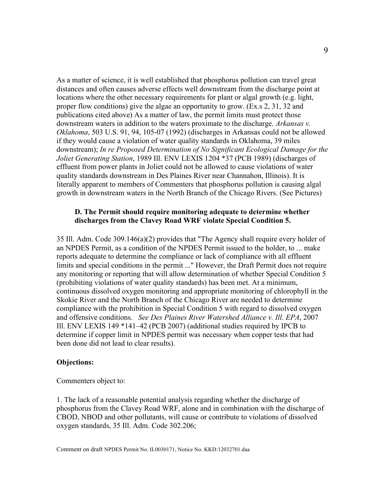As a matter of science, it is well established that phosphorus pollution can travel great distances and often causes adverse effects well downstream from the discharge point at locations where the other necessary requirements for plant or algal growth (e.g. light, proper flow conditions) give the algae an opportunity to grow. (Ex.s 2, 31, 32 and publications cited above) As a matter of law, the permit limits must protect those downstream waters in addition to the waters proximate to the discharge. *Arkansas v. Oklahoma*, 503 U.S. 91, 94, 105-07 (1992) (discharges in Arkansas could not be allowed if they would cause a violation of water quality standards in Oklahoma, 39 miles downstream); *In re Proposed Determination of No Significant Ecological Damage for the Joliet Generating Station*, 1989 Ill. ENV LEXIS 1204 \*37 (PCB 1989) (discharges of effluent from power plants in Joliet could not be allowed to cause violations of water quality standards downstream in Des Plaines River near Channahon, Illinois). It is literally apparent to members of Commenters that phosphorus pollution is causing algal growth in downstream waters in the North Branch of the Chicago Rivers. (See Pictures)

## **D. The Permit should require monitoring adequate to determine whether discharges from the Clavey Road WRF violate Special Condition 5.**

35 Ill. Adm. Code 309.146(a)(2) provides that "The Agency shall require every holder of an NPDES Permit, as a condition of the NPDES Permit issued to the holder, to ... make reports adequate to determine the compliance or lack of compliance with all effluent limits and special conditions in the permit ..." However, the Draft Permit does not require any monitoring or reporting that will allow determination of whether Special Condition 5 (prohibiting violations of water quality standards) has been met. At a minimum, continuous dissolved oxygen monitoring and appropriate monitoring of chlorophyll in the Skokie River and the North Branch of the Chicago River are needed to determine compliance with the prohibition in Special Condition 5 with regard to dissolved oxygen and offensive conditions. *See Des Plaines River Watershed Alliance v. Ill. EPA*, 2007 Ill. ENV LEXIS 149 \*141–42 (PCB 2007) (additional studies required by IPCB to determine if copper limit in NPDES permit was necessary when copper tests that had been done did not lead to clear results).

#### **Objections:**

Commenters object to:

1. The lack of a reasonable potential analysis regarding whether the discharge of phosphorus from the Clavey Road WRF, alone and in combination with the discharge of CBOD, NBOD and other pollutants, will cause or contribute to violations of dissolved oxygen standards, 35 Ill. Adm. Code 302.206;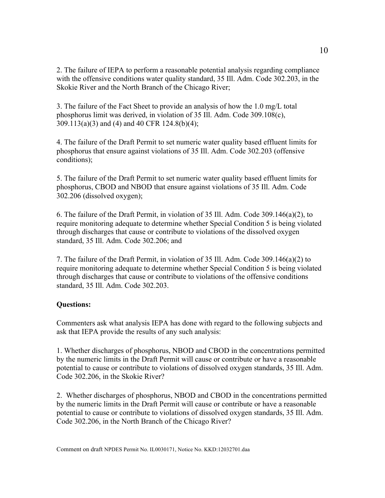2. The failure of IEPA to perform a reasonable potential analysis regarding compliance with the offensive conditions water quality standard, 35 Ill. Adm. Code 302.203, in the Skokie River and the North Branch of the Chicago River;

3. The failure of the Fact Sheet to provide an analysis of how the 1.0 mg/L total phosphorus limit was derived, in violation of 35 Ill. Adm. Code 309.108(c), 309.113(a)(3) and (4) and 40 CFR 124.8(b)(4);

4. The failure of the Draft Permit to set numeric water quality based effluent limits for phosphorus that ensure against violations of 35 Ill. Adm. Code 302.203 (offensive conditions);

5. The failure of the Draft Permit to set numeric water quality based effluent limits for phosphorus, CBOD and NBOD that ensure against violations of 35 Ill. Adm. Code 302.206 (dissolved oxygen);

6. The failure of the Draft Permit, in violation of 35 Ill. Adm. Code 309.146(a)(2), to require monitoring adequate to determine whether Special Condition 5 is being violated through discharges that cause or contribute to violations of the dissolved oxygen standard, 35 Ill. Adm. Code 302.206; and

7. The failure of the Draft Permit, in violation of 35 Ill. Adm. Code 309.146(a)(2) to require monitoring adequate to determine whether Special Condition 5 is being violated through discharges that cause or contribute to violations of the offensive conditions standard, 35 Ill. Adm. Code 302.203.

# **Questions:**

Commenters ask what analysis IEPA has done with regard to the following subjects and ask that IEPA provide the results of any such analysis:

1. Whether discharges of phosphorus, NBOD and CBOD in the concentrations permitted by the numeric limits in the Draft Permit will cause or contribute or have a reasonable potential to cause or contribute to violations of dissolved oxygen standards, 35 Ill. Adm. Code 302.206, in the Skokie River?

2. Whether discharges of phosphorus, NBOD and CBOD in the concentrations permitted by the numeric limits in the Draft Permit will cause or contribute or have a reasonable potential to cause or contribute to violations of dissolved oxygen standards, 35 Ill. Adm. Code 302.206, in the North Branch of the Chicago River?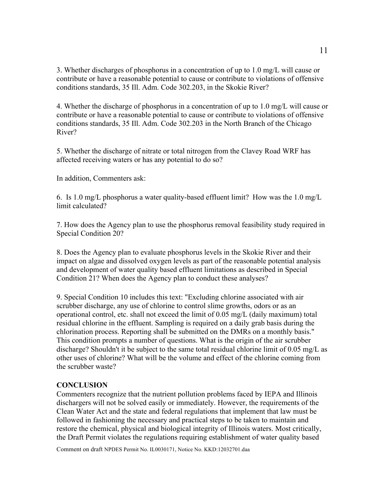3. Whether discharges of phosphorus in a concentration of up to 1.0 mg/L will cause or contribute or have a reasonable potential to cause or contribute to violations of offensive conditions standards, 35 Ill. Adm. Code 302.203, in the Skokie River?

4. Whether the discharge of phosphorus in a concentration of up to 1.0 mg/L will cause or contribute or have a reasonable potential to cause or contribute to violations of offensive conditions standards, 35 Ill. Adm. Code 302.203 in the North Branch of the Chicago River?

5. Whether the discharge of nitrate or total nitrogen from the Clavey Road WRF has affected receiving waters or has any potential to do so?

In addition, Commenters ask:

6. Is 1.0 mg/L phosphorus a water quality-based effluent limit? How was the 1.0 mg/L limit calculated?

7. How does the Agency plan to use the phosphorus removal feasibility study required in Special Condition 20?

8. Does the Agency plan to evaluate phosphorus levels in the Skokie River and their impact on algae and dissolved oxygen levels as part of the reasonable potential analysis and development of water quality based effluent limitations as described in Special Condition 21? When does the Agency plan to conduct these analyses?

9. Special Condition 10 includes this text: "Excluding chlorine associated with air scrubber discharge, any use of chlorine to control slime growths, odors or as an operational control, etc. shall not exceed the limit of 0.05 mg/L (daily maximum) total residual chlorine in the effluent. Sampling is required on a daily grab basis during the chlorination process. Reporting shall be submitted on the DMRs on a monthly basis." This condition prompts a number of questions. What is the origin of the air scrubber discharge? Shouldn't it be subject to the same total residual chlorine limit of 0.05 mg/L as other uses of chlorine? What will be the volume and effect of the chlorine coming from the scrubber waste?

#### **CONCLUSION**

Commenters recognize that the nutrient pollution problems faced by IEPA and Illinois dischargers will not be solved easily or immediately. However, the requirements of the Clean Water Act and the state and federal regulations that implement that law must be followed in fashioning the necessary and practical steps to be taken to maintain and restore the chemical, physical and biological integrity of Illinois waters. Most critically, the Draft Permit violates the regulations requiring establishment of water quality based